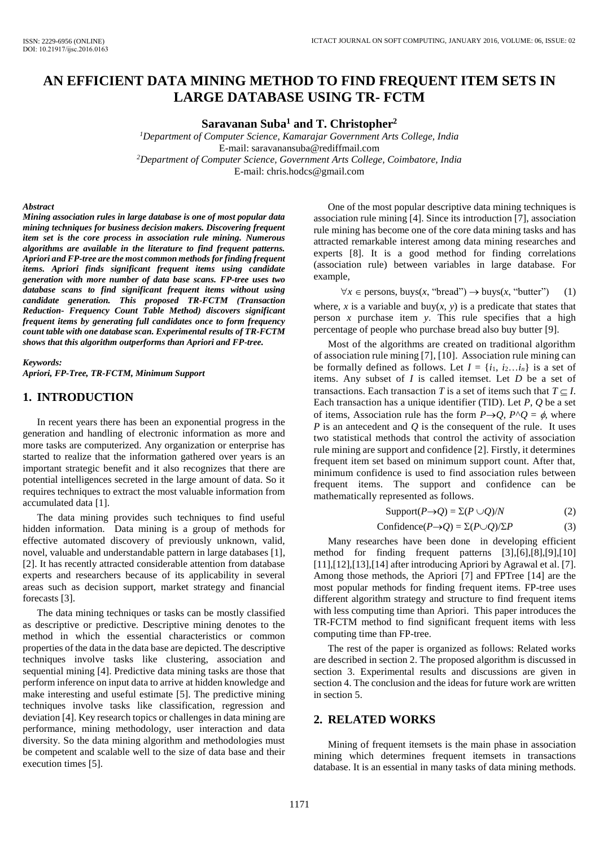# **AN EFFICIENT DATA MINING METHOD TO FIND FREQUENT ITEM SETS IN LARGE DATABASE USING TR- FCTM**

**Saravanan Suba<sup>1</sup> and T. Christopher<sup>2</sup>**

*<sup>1</sup>Department of Computer Science, Kamarajar Government Arts College, India*  E-mail: saravanansuba@rediffmail.com *<sup>2</sup>Department of Computer Science, Government Arts College, Coimbatore, India*  E-mail: chris.hodcs@gmail.com

#### *Abstract*

*Mining association rules in large database is one of most popular data mining techniques for business decision makers. Discovering frequent item set is the core process in association rule mining. Numerous algorithms are available in the literature to find frequent patterns. Apriori and FP-tree are the most common methods for finding frequent items. Apriori finds significant frequent items using candidate generation with more number of data base scans. FP-tree uses two database scans to find significant frequent items without using candidate generation. This proposed TR-FCTM (Transaction Reduction- Frequency Count Table Method) discovers significant frequent items by generating full candidates once to form frequency count table with one database scan. Experimental results of TR-FCTM shows that this algorithm outperforms than Apriori and FP-tree.* 

#### *Keywords:*

*Apriori, FP-Tree, TR-FCTM, Minimum Support* 

### **1. INTRODUCTION**

In recent years there has been an exponential progress in the generation and handling of electronic information as more and more tasks are computerized. Any organization or enterprise has started to realize that the information gathered over years is an important strategic benefit and it also recognizes that there are potential intelligences secreted in the large amount of data. So it requires techniques to extract the most valuable information from accumulated data [1].

The data mining provides such techniques to find useful hidden information. Data mining is a group of methods for effective automated discovery of previously unknown, valid, novel, valuable and understandable pattern in large databases [1], [2]. It has recently attracted considerable attention from database experts and researchers because of its applicability in several areas such as decision support, market strategy and financial forecasts [3].

The data mining techniques or tasks can be mostly classified as descriptive or predictive. Descriptive mining denotes to the method in which the essential characteristics or common properties of the data in the data base are depicted. The descriptive techniques involve tasks like clustering, association and sequential mining [4]. Predictive data mining tasks are those that perform inference on input data to arrive at hidden knowledge and make interesting and useful estimate [5]. The predictive mining techniques involve tasks like classification, regression and deviation [4]. Key research topics or challenges in data mining are performance, mining methodology, user interaction and data diversity. So the data mining algorithm and methodologies must be competent and scalable well to the size of data base and their execution times [5].

One of the most popular descriptive data mining techniques is association rule mining [4]. Since its introduction [7], association rule mining has become one of the core data mining tasks and has attracted remarkable interest among data mining researches and experts [8]. It is a good method for finding correlations (association rule) between variables in large database. For example,

 $\forall x \in \text{ persons, buys}(x, \text{``break''}) \rightarrow \text{buys}(x, \text{``bullet''})$  (1) where, *x* is a variable and buy(*x*, *y*) is a predicate that states that person  $x$  purchase item  $y$ . This rule specifies that a high percentage of people who purchase bread also buy butter [9].

Most of the algorithms are created on traditional algorithm of association rule mining [7], [10]. Association rule mining can be formally defined as follows. Let  $I = \{i_1, i_2...i_n\}$  is a set of items. Any subset of *I* is called itemset. Let *D* be a set of transactions. Each transaction *T* is a set of items such that  $T \subseteq I$ . Each transaction has a unique identifier (TID). Let *P*, *Q* be a set of items, Association rule has the form  $P\rightarrow Q$ ,  $P\land Q = \phi$ , where *P* is an antecedent and *Q* is the consequent of the rule. It uses two statistical methods that control the activity of association rule mining are support and confidence [2]. Firstly, it determines frequent item set based on minimum support count. After that, minimum confidence is used to find association rules between frequent items. The support and confidence can be mathematically represented as follows.

$$
Support(P \to Q) = \Sigma(P \cup Q)/N \tag{2}
$$

$$
Confidence(P \to Q) = \Sigma(P \cup Q)/\Sigma P \tag{3}
$$

Many researches have been done in developing efficient method for finding frequent patterns [3],[6],[8],[9],[10] [11],[12],[13],[14] after introducing Apriori by Agrawal et al. [7]. Among those methods, the Apriori [7] and FPTree [14] are the most popular methods for finding frequent items. FP-tree uses different algorithm strategy and structure to find frequent items with less computing time than Apriori. This paper introduces the TR-FCTM method to find significant frequent items with less computing time than FP-tree.

The rest of the paper is organized as follows: Related works are described in section 2. The proposed algorithm is discussed in section 3. Experimental results and discussions are given in section 4. The conclusion and the ideas for future work are written in section 5.

### **2. RELATED WORKS**

Mining of frequent itemsets is the main phase in association mining which determines frequent itemsets in transactions database. It is an essential in many tasks of data mining methods.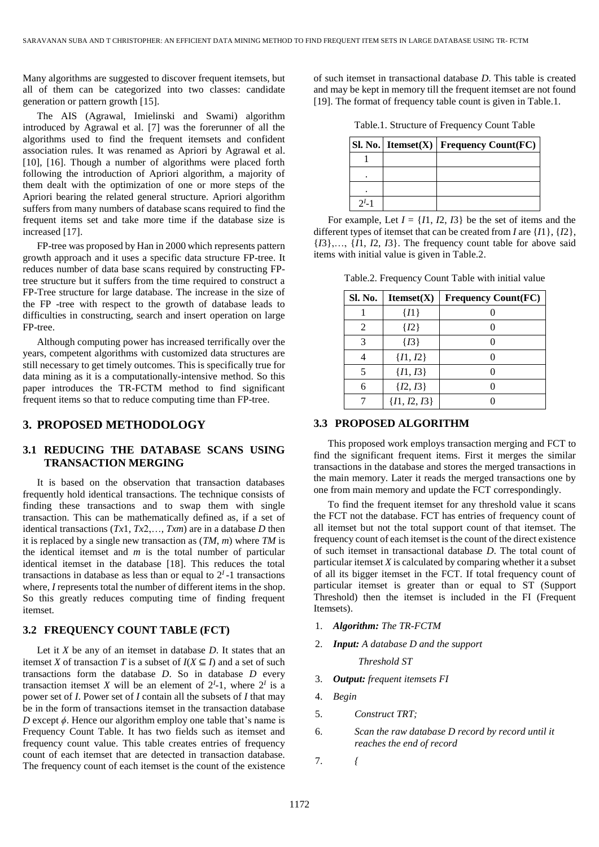Many algorithms are suggested to discover frequent itemsets, but all of them can be categorized into two classes: candidate generation or pattern growth [15].

The AIS (Agrawal, Imielinski and Swami) algorithm introduced by Agrawal et al. [7] was the forerunner of all the algorithms used to find the frequent itemsets and confident association rules. It was renamed as Apriori by Agrawal et al. [10], [16]. Though a number of algorithms were placed forth following the introduction of Apriori algorithm, a majority of them dealt with the optimization of one or more steps of the Apriori bearing the related general structure. Apriori algorithm suffers from many numbers of database scans required to find the frequent items set and take more time if the database size is increased [17].

FP-tree was proposed by Han in 2000 which represents pattern growth approach and it uses a specific data structure FP-tree. It reduces number of data base scans required by constructing FPtree structure but it suffers from the time required to construct a FP-Tree structure for large database. The increase in the size of the FP -tree with respect to the growth of database leads to difficulties in constructing, search and insert operation on large FP-tree.

Although computing power has increased terrifically over the years, competent algorithms with customized data structures are still necessary to get timely outcomes. This is specifically true for data mining as it is a computationally-intensive method. So this paper introduces the TR-FCTM method to find significant frequent items so that to reduce computing time than FP-tree.

### **3. PROPOSED METHODOLOGY**

## **3.1 REDUCING THE DATABASE SCANS USING TRANSACTION MERGING**

It is based on the observation that transaction databases frequently hold identical transactions. The technique consists of finding these transactions and to swap them with single transaction. This can be mathematically defined as, if a set of identical transactions  $(Tx1, Tx2,..., Txm)$  are in a database *D* then it is replaced by a single new transaction as (*TM*, *m*) where *TM* is the identical itemset and *m* is the total number of particular identical itemset in the database [18]. This reduces the total transactions in database as less than or equal to  $2<sup>I</sup>$ -1 transactions where, *I* represents total the number of different items in the shop. So this greatly reduces computing time of finding frequent itemset.

### **3.2 FREQUENCY COUNT TABLE (FCT)**

Let it *X* be any of an itemset in database *D*. It states that an itemset *X* of transaction *T* is a subset of  $I(X \subseteq I)$  and a set of such transactions form the database *D*. So in database *D* every transaction itemset *X* will be an element of  $2^I$ -1, where  $2^I$  is a power set of *I*. Power set of *I* contain all the subsets of *I* that may be in the form of transactions itemset in the transaction database *D* except *ϕ*. Hence our algorithm employ one table that's name is Frequency Count Table. It has two fields such as itemset and frequency count value. This table creates entries of frequency count of each itemset that are detected in transaction database. The frequency count of each itemset is the count of the existence of such itemset in transactional database *D*. This table is created and may be kept in memory till the frequent itemset are not found [19]. The format of frequency table count is given in Table.1.

Table.1. Structure of Frequency Count Table

|             | $\vert$ Sl. No.   Itemset(X)   Frequency Count(FC) |
|-------------|----------------------------------------------------|
|             |                                                    |
|             |                                                    |
|             |                                                    |
| $2^{I} - 1$ |                                                    |

For example, Let  $I = \{I1, I2, I3\}$  be the set of items and the different types of itemset that can be created from *I* are {*I*1}, {*I*2},  ${I3}, \ldots, {I1, I2, I3}$ . The frequency count table for above said items with initial value is given in Table.2.

Table.2. Frequency Count Table with initial value

| Sl. No. | Itemset(X)       | <b>Frequency Count(FC)</b> |
|---------|------------------|----------------------------|
|         | $\{I1\}$         |                            |
| 2       | $\{I2\}$         |                            |
| 3       | $\{I3\}$         |                            |
|         | $\{I1, I2\}$     |                            |
| 5       | $\{I1, I3\}$     |                            |
| 6       | $\{I2, I3\}$     |                            |
|         | $\{I1, I2, I3\}$ |                            |

### **3.3 PROPOSED ALGORITHM**

This proposed work employs transaction merging and FCT to find the significant frequent items. First it merges the similar transactions in the database and stores the merged transactions in the main memory. Later it reads the merged transactions one by one from main memory and update the FCT correspondingly.

To find the frequent itemset for any threshold value it scans the FCT not the database. FCT has entries of frequency count of all itemset but not the total support count of that itemset. The frequency count of each itemset is the count of the direct existence of such itemset in transactional database *D*. The total count of particular itemset *X* is calculated by comparing whether it a subset of all its bigger itemset in the FCT. If total frequency count of particular itemset is greater than or equal to ST (Support Threshold) then the itemset is included in the FI (Frequent Itemsets).

- 1. *Algorithm: The TR-FCTM*
- 2. *Input: A database D and the support*

 *Threshold ST* 

- 3. *Output: frequent itemsets FI*
- 4. *Begin*
- 5. *Construct TRT;*
- 6. *Scan the raw database D record by record until it reaches the end of record*
- 7. *{*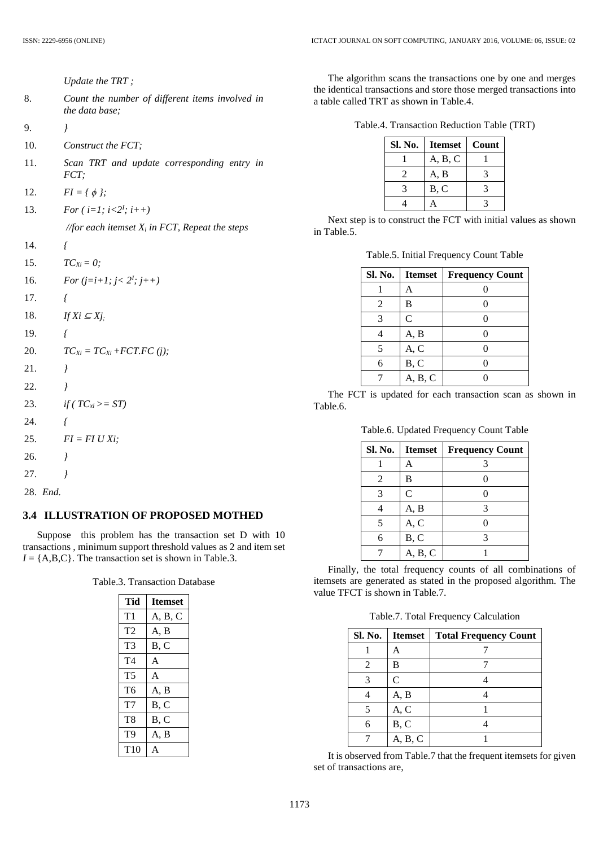|     | Update the TRT;                                                   |
|-----|-------------------------------------------------------------------|
| 8.  | Count the number of different items involved in<br>the data base; |
| 9.  | $\overline{I}$                                                    |
| 10. | Construct the FCT;                                                |
| 11. | Scan TRT and update corresponding entry in<br>FCT:                |
| 12. | $FI = \{\phi\};$                                                  |
| 13. | For $(i=1; i<2^l; i++)$                                           |
|     | //for each itemset $X_i$ in FCT, Repeat the steps                 |
| 14. | ſ                                                                 |
| 15. | $TC_{Xi} = 0;$                                                    |
| 16. | For $(j=i+1; j < 2^l; j++)$                                       |
| 17. | $\sqrt{ }$                                                        |
| 18. | If $Xi \subseteq Xj$ .                                            |
| 19. | ſ                                                                 |
| 20. | $TC_{Xi} = TC_{Xi} + FCT.FC(j);$                                  |
| 21. | $\overline{I}$                                                    |
| 22. | $\overline{ }$                                                    |
| 23. | if ( $TC_{xi}>=ST$ )                                              |
| 24. | $\sqrt{ }$                                                        |
| 25. | $FI = FI U Xi;$                                                   |
| 26. | $\overline{I}$                                                    |
| 27. | $\overline{I}$                                                    |
|     |                                                                   |

28. *End.*

### **3.4 ILLUSTRATION OF PROPOSED MOTHED**

Suppose this problem has the transaction set D with 10 transactions , minimum support threshold values as 2 and item set  $I = \{A, B, C\}$ . The transaction set is shown in Table.3.

Table.3. Transaction Database

| Tid            | <b>Itemset</b> |
|----------------|----------------|
| T1             | A, B, C        |
| T2             | A, B           |
| T3             | B, C           |
| T <sub>4</sub> | A              |
| T <sub>5</sub> | A              |
| T <sub>6</sub> | A, B           |
| T7             | B. C           |
| T <sub>8</sub> | B, C           |
| T9             | A, B           |
| T10            |                |

The algorithm scans the transactions one by one and merges the identical transactions and store those merged transactions into a table called TRT as shown in Table.4.

| Table.4. Transaction Reduction Table (TRT) |  |  |  |
|--------------------------------------------|--|--|--|
|--------------------------------------------|--|--|--|

| Sl. No. | Itemset | <b>Count</b> |
|---------|---------|--------------|
|         | A, B, C |              |
|         | A, B    |              |
|         | B, C    |              |
|         |         |              |

Next step is to construct the FCT with initial values as shown in Table.5.

Table.5. Initial Frequency Count Table

| Sl. No. | <b>Itemset</b> | <b>Frequency Count</b> |
|---------|----------------|------------------------|
|         | А              |                        |
| 2       | B              |                        |
| 3       | C              |                        |
|         | A, B           |                        |
| 5       | A, C           |                        |
| 6       | B, C           |                        |
|         | A, B, C        |                        |

The FCT is updated for each transaction scan as shown in Table.6.

Table.6. Updated Frequency Count Table

| Sl. No. | <b>Itemset</b> | <b>Frequency Count</b> |
|---------|----------------|------------------------|
|         | А              |                        |
| 2       | B              |                        |
| 3       | C              |                        |
|         | A, B           |                        |
| 5       | A, C           |                        |
| б       | B, C           |                        |
|         | A, B, C        |                        |

Finally, the total frequency counts of all combinations of itemsets are generated as stated in the proposed algorithm. The value TFCT is shown in Table.7.

Table.7. Total Frequency Calculation

| <b>Sl. No.</b> | <b>Itemset</b> | <b>Total Frequency Count</b> |
|----------------|----------------|------------------------------|
|                | А              |                              |
| 2              | В              |                              |
|                | $\mathsf{C}$   |                              |
|                | A, B           |                              |
|                | A, C           |                              |
|                | B, C           |                              |
|                | A, B, C        |                              |

It is observed from Table.7 that the frequent itemsets for given set of transactions are,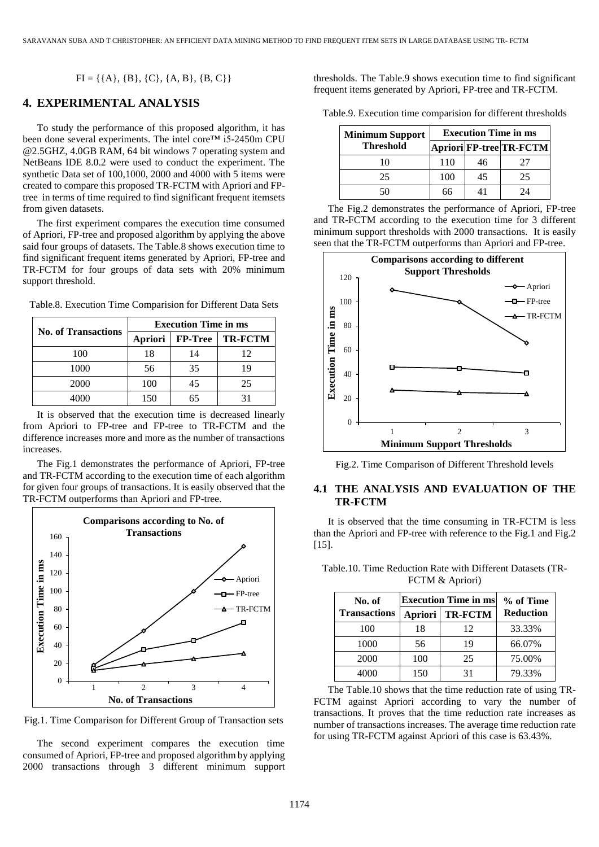$FI = \{\{A\}, \{B\}, \{C\}, \{A, B\}, \{B, C\}\}\$ 

### **4. EXPERIMENTAL ANALYSIS**

To study the performance of this proposed algorithm, it has been done several experiments. The intel core™ i5-2450m CPU @2.5GHZ, 4.0GB RAM, 64 bit windows 7 operating system and NetBeans IDE 8.0.2 were used to conduct the experiment. The synthetic Data set of 100,1000, 2000 and 4000 with 5 items were created to compare this proposed TR-FCTM with Apriori and FPtree in terms of time required to find significant frequent itemsets from given datasets.

The first experiment compares the execution time consumed of Apriori, FP-tree and proposed algorithm by applying the above said four groups of datasets. The Table.8 shows execution time to find significant frequent items generated by Apriori, FP-tree and TR-FCTM for four groups of data sets with 20% minimum support threshold.

|  | Table.8. Execution Time Comparision for Different Data Sets |  |  |  |  |
|--|-------------------------------------------------------------|--|--|--|--|
|  |                                                             |  |  |  |  |

|                            | <b>Execution Time in ms</b> |                   |                |  |  |
|----------------------------|-----------------------------|-------------------|----------------|--|--|
| <b>No. of Transactions</b> |                             | Apriori   FP-Tree | <b>TR-FCTM</b> |  |  |
| 100                        | 18                          | 14                | 12             |  |  |
| 1000                       | 56                          | 35                | 19             |  |  |
| 2000                       | 100                         | 45                | 25             |  |  |
| 4000                       | 150                         |                   |                |  |  |

It is observed that the execution time is decreased linearly from Apriori to FP-tree and FP-tree to TR-FCTM and the difference increases more and more as the number of transactions increases.

The Fig.1 demonstrates the performance of Apriori, FP-tree and TR-FCTM according to the execution time of each algorithm for given four groups of transactions. It is easily observed that the TR-FCTM outperforms than Apriori and FP-tree.



Fig.1. Time Comparison for Different Group of Transaction sets

The second experiment compares the execution time consumed of Apriori, FP-tree and proposed algorithm by applying 2000 transactions through 3 different minimum support thresholds. The Table.9 shows execution time to find significant frequent items generated by Apriori, FP-tree and TR-FCTM.

Table.9. Execution time comparision for different thresholds

| <b>Minimum Support</b> | <b>Execution Time in ms</b> |    |                         |  |
|------------------------|-----------------------------|----|-------------------------|--|
| <b>Threshold</b>       |                             |    | Apriori FP-tree TR-FCTM |  |
| 10                     | 110                         | 46 | 27                      |  |
| 25                     | 100                         | 45 | 25                      |  |
| -50.                   | 66                          |    | 24                      |  |

The Fig.2 demonstrates the performance of Apriori, FP-tree and TR-FCTM according to the execution time for 3 different minimum support thresholds with 2000 transactions. It is easily seen that the TR-FCTM outperforms than Apriori and FP-tree.



Fig.2. Time Comparison of Different Threshold levels

### **4.1 THE ANALYSIS AND EVALUATION OF THE TR-FCTM**

It is observed that the time consuming in TR-FCTM is less than the Apriori and FP-tree with reference to the Fig.1 and Fig.2 [15].

| No. of<br><b>Transactions</b> | <b>Execution Time in ms</b> |                | % of Time        |
|-------------------------------|-----------------------------|----------------|------------------|
|                               | Apriori                     | <b>TR-FCTM</b> | <b>Reduction</b> |
| 100                           | 18                          | 12             | 33.33%           |
| 1000                          | 56                          | 19             | 66.07%           |
| 2000                          | 100                         | 25             | 75.00%           |
| 4000                          | 150                         | 31             | 79.33%           |

Table.10. Time Reduction Rate with Different Datasets (TR-FCTM & Apriori)

The Table.10 shows that the time reduction rate of using TR-FCTM against Apriori according to vary the number of transactions. It proves that the time reduction rate increases as number of transactions increases. The average time reduction rate for using TR-FCTM against Apriori of this case is 63.43%.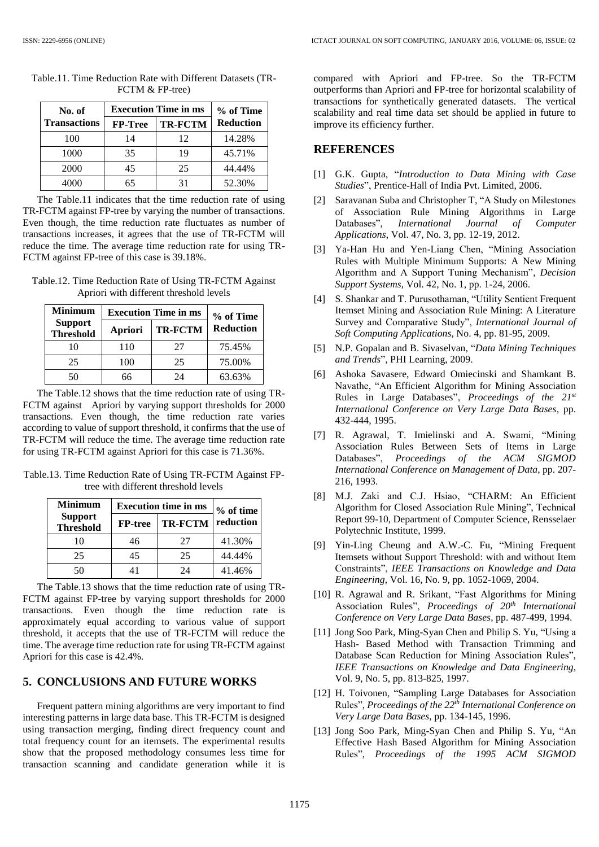| No. of              | <b>Execution Time in ms</b> | % of Time      |                  |
|---------------------|-----------------------------|----------------|------------------|
| <b>Transactions</b> | <b>FP-Tree</b>              | <b>TR-FCTM</b> | <b>Reduction</b> |
| 100                 | 14                          | 12             | 14.28%           |
| 1000                | 35                          | 19             | 45.71%           |
| 2000                | 45                          | 25             | 44.44%           |
|                     | 65                          | 31             | 52.30%           |

Table.11. Time Reduction Rate with Different Datasets (TR-FCTM & FP-tree)

The Table.11 indicates that the time reduction rate of using TR-FCTM against FP-tree by varying the number of transactions. Even though, the time reduction rate fluctuates as number of transactions increases, it agrees that the use of TR-FCTM will reduce the time. The average time reduction rate for using TR-FCTM against FP-tree of this case is 39.18%.

Table.12. Time Reduction Rate of Using TR-FCTM Against Apriori with different threshold levels

| Minimum                            | <b>Execution Time in ms</b> | % of Time      |                  |
|------------------------------------|-----------------------------|----------------|------------------|
| <b>Support</b><br><b>Threshold</b> | Apriori                     | <b>TR-FCTM</b> | <b>Reduction</b> |
| 10                                 | 110                         | 27             | 75.45%           |
| 25                                 | 100                         | 25             | 75.00%           |
| 50                                 | 66                          | 24             | 63.63%           |

The Table.12 shows that the time reduction rate of using TR-FCTM against Apriori by varying support thresholds for 2000 transactions. Even though, the time reduction rate varies according to value of support threshold, it confirms that the use of TR-FCTM will reduce the time. The average time reduction rate for using TR-FCTM against Apriori for this case is 71.36%.

Table.13. Time Reduction Rate of Using TR-FCTM Against FPtree with different threshold levels

| <b>Minimum</b>                     | <b>Execution time in ms</b> | $%$ of time    |           |
|------------------------------------|-----------------------------|----------------|-----------|
| <b>Support</b><br><b>Threshold</b> | <b>FP-tree</b>              | <b>TR-FCTM</b> | reduction |
| 10                                 | 46                          | 27             | 41.30%    |
| 25                                 | 45                          | 25             | 44.44%    |
| -50.                               |                             | 24             | 41.46%    |

The Table.13 shows that the time reduction rate of using TR-FCTM against FP-tree by varying support thresholds for 2000 transactions. Even though the time reduction rate is approximately equal according to various value of support threshold, it accepts that the use of TR-FCTM will reduce the time. The average time reduction rate for using TR-FCTM against Apriori for this case is 42.4%.

# **5. CONCLUSIONS AND FUTURE WORKS**

Frequent pattern mining algorithms are very important to find interesting patterns in large data base. This TR-FCTM is designed using transaction merging, finding direct frequency count and total frequency count for an itemsets. The experimental results show that the proposed methodology consumes less time for transaction scanning and candidate generation while it is compared with Apriori and FP-tree. So the TR-FCTM outperforms than Apriori and FP-tree for horizontal scalability of transactions for synthetically generated datasets. The vertical scalability and real time data set should be applied in future to improve its efficiency further.

### **REFERENCES**

- [1] G.K. Gupta, "*Introduction to Data Mining with Case Studies*", Prentice-Hall of India Pvt. Limited, 2006.
- [2] Saravanan Suba and Christopher T, "A Study on Milestones of Association Rule Mining Algorithms in Large Databases", *International Journal of Computer Applications*, Vol. 47, No. 3, pp. 12-19, 2012.
- [3] Ya-Han Hu and Yen-Liang Chen, "Mining Association Rules with Multiple Minimum Supports: A New Mining Algorithm and A Support Tuning Mechanism", *Decision Support Systems*, Vol. 42, No. 1, pp. 1-24, 2006.
- [4] S. Shankar and T. Purusothaman, "Utility Sentient Frequent Itemset Mining and Association Rule Mining: A Literature Survey and Comparative Study", *International Journal of Soft Computing Applications*, No. 4, pp. 81-95, 2009.
- [5] N.P. Gopalan and B. Sivaselvan, "*Data Mining Techniques and Trends*", PHI Learning, 2009.
- [6] Ashoka Savasere, Edward Omiecinski and Shamkant B. Navathe, "An Efficient Algorithm for Mining Association Rules in Large Databases", *Proceedings of the 21st International Conference on Very Large Data Bases*, pp. 432-444, 1995.
- [7] R. Agrawal, T. Imielinski and A. Swami, "Mining Association Rules Between Sets of Items in Large Databases", *Proceedings of the ACM SIGMOD International Conference on Management of Data*, pp. 207- 216, 1993.
- [8] M.J. Zaki and C.J. Hsiao, "CHARM: An Efficient Algorithm for Closed Association Rule Mining", Technical Report 99-10, Department of Computer Science, Rensselaer Polytechnic Institute, 1999.
- [9] Yin-Ling Cheung and A.W.-C. Fu, "Mining Frequent Itemsets without Support Threshold: with and without Item Constraints", *IEEE Transactions on Knowledge and Data Engineering*, Vol. 16, No. 9, pp. 1052-1069, 2004.
- [10] R. Agrawal and R. Srikant, "Fast Algorithms for Mining Association Rules", *Proceedings of 20th International Conference on Very Large Data Bases*, pp. 487-499, 1994.
- [11] Jong Soo Park, Ming-Syan Chen and Philip S. Yu, "Using a Hash- Based Method with Transaction Trimming and Database Scan Reduction for Mining Association Rules", *IEEE Transactions on Knowledge and Data Engineering*, Vol. 9, No. 5, pp. 813-825, 1997.
- [12] H. Toivonen, "Sampling Large Databases for Association Rules", *Proceedings of the 22th International Conference on Very Large Data Bases*, pp. 134-145, 1996.
- [13] Jong Soo Park, Ming-Syan Chen and Philip S. Yu*,* "An Effective Hash Based Algorithm for Mining Association Rules", *Proceedings of the 1995 ACM SIGMOD*